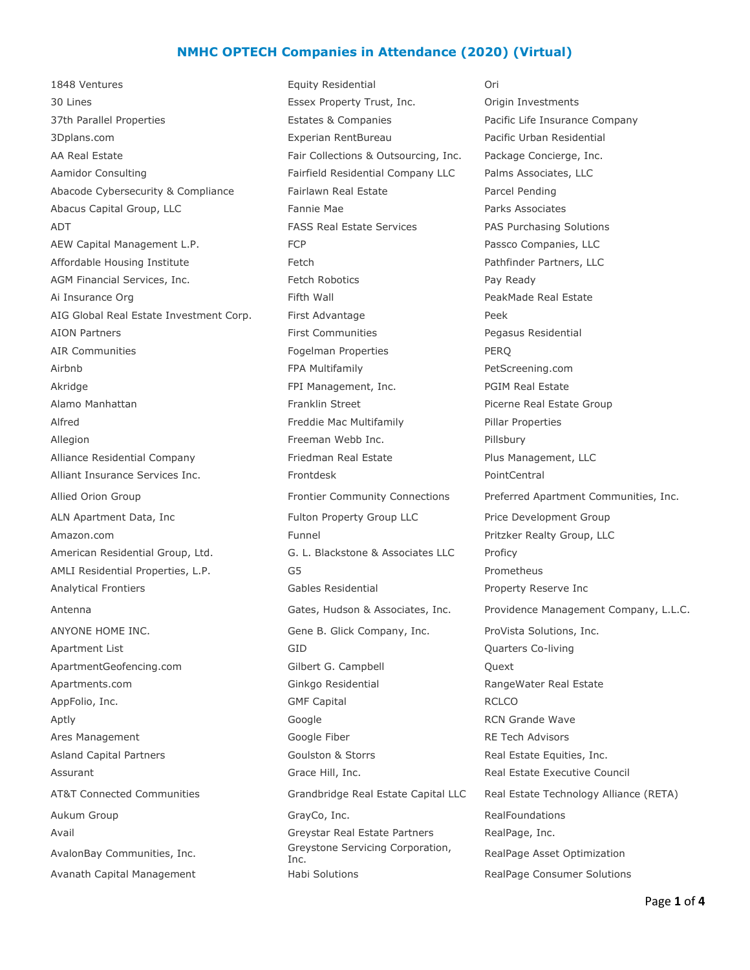## **NMHC OPTECH Companies in Attendance (2020) (Virtual)**

1848 Ventures Equity Residential Ori 30 Lines Essex Property Trust, Inc. Origin Investments 37th Parallel Properties **Estates & Companies** Pacific Life Insurance Company 3Dplans.com Experian RentBureau Pacific Urban Residential AA Real Estate Fair Collections & Outsourcing, Inc. Package Concierge, Inc. Aamidor Consulting Fairfield Residential Company LLC Palms Associates, LLC Abacode Cybersecurity & Compliance Fairlawn Real Estate Parcel Pending Abacus Capital Group, LLC Fannie Mae Parks Associates ADT FASS Real Estate Services PAS Purchasing Solutions AEW Capital Management L.P. The Second FCP Passco Companies, LLC Affordable Housing Institute The Real Path Pathfinder Partners, LLC AGM Financial Services, Inc. The Section of Fetch Robotics Theorem 2012 Ready Ai Insurance Org **Filth Wall Communist PeakMade Real Estate** PeakMade Real Estate AIG Global Real Estate Investment Corp. First Advantage Peek AION Partners **First Communities** First Communities **Pegasus Residential** AIR Communities The Term of Tennes of Tennes PERQ For Tennes PERQ Airbnb FPA Multifamily PetScreening.com Akridge **FPI Management, Inc.** PGIM Real Estate PGIM Real Estate Alamo Manhattan **Franklin Street Alamo Manhattan Estate Group** Franklin Street Picerne Real Estate Group Alfred **Freddie Mac Multifamily** Pillar Properties Allegion **Freeman Webb Inc.** Pillsbury Pillsbury Alliance Residential Company Friedman Real Estate Plus Management, LLC Alliant Insurance Services Inc. The Research PointCentral PointCentral ALN Apartment Data, Inc **Fulton Property Group LLC** Price Development Group Amazon.com **Funnel** Pritzker Realty Group, LLC American Residential Group, Ltd. G. L. Blackstone & Associates LLC Proficy AMLI Residential Properties, L.P. G5 G5 AMLI Residential Properties, L.P. Analytical Frontiers Gables Residential Property Reserve Inc ANYONE HOME INC. The State of Gene B. Glick Company, Inc. ProVista Solutions, Inc. Apartment List GID Quarters Co-living ApartmentGeofencing.com Gilbert G. Campbell Quext Apartments.com **Ginkgo Residential RangeWater Real Estate** AppFolio, Inc. **GMF Capital** GMF Capital RCLCO Aptly **Algebra Contract Contract Contract Contract Contract Contract Contract Contract Contract Contract Contract Contract Contract Contract Contract Contract Contract Contract Contract Contract Contract Contract Contract** Ares Management **Ares Management** Google Fiber **RE Tech Advisors RE** Tech Advisors Asland Capital Partners **As a Coulston & Storrs** Asland Capital Partners *Inc.* Goulston & Storrs **Real Estate Equities, Inc.** Assurant and Grace Hill, Inc. Assurant Grace Hill, Inc. Assurant Real Estate Executive Council Aukum Group GrayCo, Inc. RealFoundations Avail Greystar Real Estate Partners RealPage, Inc. AvalonBay Communities, Inc. Greystone Servicing Corporation,

Avanath Capital Management **Habi Solutions** Habi Solutions RealPage Consumer Solutions

Allied Orion Group **Frontier Community Connections** Preferred Apartment Communities, Inc. Antenna Gates, Hudson & Associates, Inc. Providence Management Company, L.L.C. AT&T Connected Communities Grandbridge Real Estate Capital LLC Real Estate Technology Alliance (RETA) RealPage Asset Optimization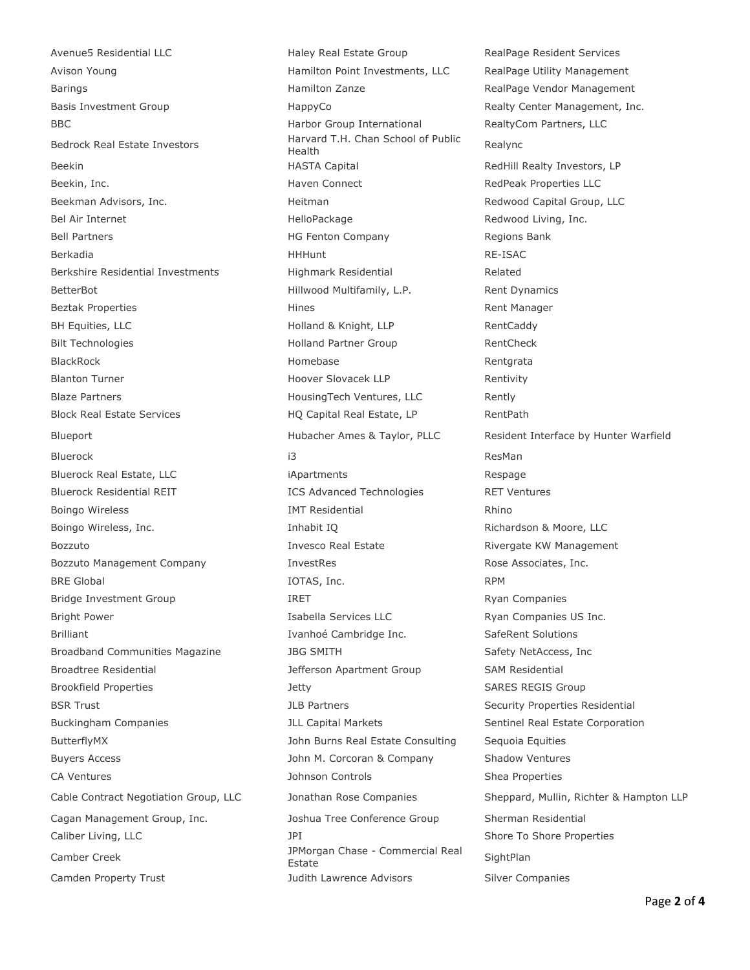Avenue5 Residential LLC **Haley Real Estate Group** RealPage Resident Services Avison Young Hamilton Point Investments, LLC RealPage Utility Management Barings **Hamilton Zanze** Hamilton Zanze RealPage Vendor Management Basis Investment Group Theorem HappyCo HappyCo Realty Center Management, Inc. BBC BBC Harbor Group International RealtyCom Partners, LLC Bedrock Real Estate Investors The Trail value Beekin **Example 20 Teek in the Capital HASTA Capital** Realtill Realty Investors, LP Beekin, Inc. **Example 20 Inc.** Haven Connect **RedPeak Properties LLC** Beekman Advisors, Inc. The Capital Group, LLC Heitman Redwood Capital Group, LLC Bel Air Internet **Example 2** HelloPackage Redwood Living, Inc. Bell Partners **Example 20 Tell Partners** HG Fenton Company **Regions Bank** Berkadia HHHunt RE-ISAC Berkshire Residential Investments Highmark Residential Related BetterBot **Example 2 The Hillwood Multifamily, L.P.** Rent Dynamics Beztak Properties and the Hines Rent Manager Rent Manager BH Equities, LLC **Example 20** Holland & Knight, LLP RentCaddy Bilt Technologies and the Holland Partner Group RentCheck BlackRock Homebase Rentgrata Blanton Turner Turner and Turner Hoover Slovacek LLP and Rentivity Blaze Partners **Example 2** HousingTech Ventures, LLC Rently Block Real Estate Services The RentPath HQ Capital Real Estate, LP RentPath Blueport **Example 2 and Hubacher Ames & Taylor, PLLC** Resident Interface by Hunter Warfield Bluerock i3 ResMan Bluerock Real Estate, LLC in the approximation of the iApartments and the state of the Respage Bluerock Residential REIT **ICS Advanced Technologies** RET Ventures Boingo Wireless **IMT** Residential **Rhino** Boingo Wireless, Inc. The Society of the Moore, Inhabit IO and Richardson & Moore, LLC Bozzuto **Invesco Real Estate** Rivergate KW Management Bozzuto Management Company **InvestRes Rose Associates, Inc. Rose Associates**, Inc. BRE Global and a series of the contract of the IOTAS, Inc. The RPM and RPM and RPM and RPM and RPM Bridge Investment Group **IRET** IRET Ryan Companies Bright Power **Isabella Services LLC** Ryan Companies US Inc. Brilliant **Ivanhoé Cambridge Inc.** SafeRent Solutions Broadband Communities Magazine The SMITH Safety NetAccess, Inc. Broadtree Residential The Same Sefferson Apartment Group SAM Residential Brookfield Properties and SARES REGIS Group BSR Trust **Security Properties Residential** JLB Partners Security Properties Residential Buckingham Companies The Suckingham Companies The Sentinel Real Estate Corporation ButterflyMX John Burns Real Estate Consulting Sequoia Equities Buyers Access **Shadow Ventures** John M. Corcoran & Company Shadow Ventures CA Ventures **CA Ventures** CA Ventures **CA Ventures** Shea Properties **Shea** Properties Cagan Management Group, Inc. Joshua Tree Conference Group Sherman Residential Caliber Living, LLC **Shore Properties** JPI 30 and Shore To Shore Properties Camber Creek JPMorgan Chase - Commercial Real Estate SightPlan

Harvard T.H. Chan School of Public<br>Health Camden Property Trust Tust The State of Judith Lawrence Advisors Silver Companies

Cable Contract Negotiation Group, LLC Jonathan Rose Companies Sheppard, Mullin, Richter & Hampton LLP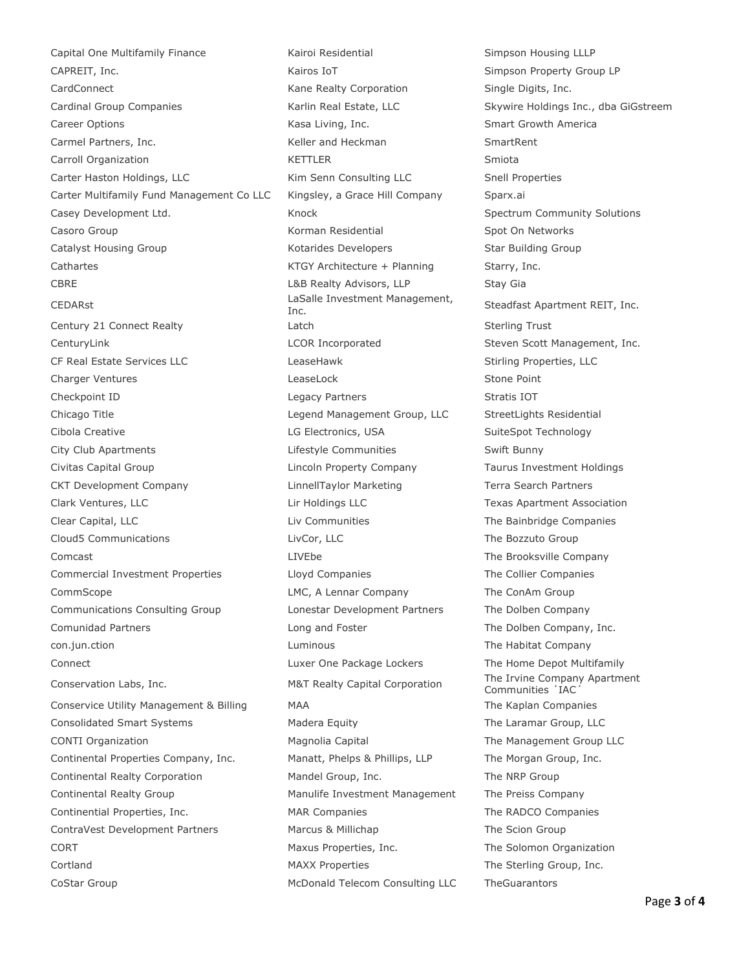Capital One Multifamily Finance **Kairoi Residential** Simpson Housing LLLP CAPREIT, Inc. **Simpson Property Group LP Kairos IoT** Simpson Property Group LP CardConnect **CardConnect** CardConnect **Kane Realty Corporation** Single Digits, Inc. Cardinal Group Companies **Karlin Real Estate, LLC** Skywire Holdings Inc., dba GiGstreem Career Options **Kasa Living, Inc.** Smart Growth America Career Options America Carmel Partners, Inc. The Carmel Partners, Inc. The Carmel Partners, Inc. The SmartRent Carroll Organization **KETTLER** Smiota Carter Haston Holdings, LLC **Kim Senn Consulting LLC** Snell Properties Carter Multifamily Fund Management Co LLC Kingsley, a Grace Hill Company Sparx.ai Casey Development Ltd. **Knock** Spectrum Community Solutions **Casey** Development Ltd. Casoro Group **Casoro Group Casoro Casoro Casoro Casoro Casoro Casoro Casoro Casoro Casoro Casoro Casoro Casoro C** Catalyst Housing Group The Rotarides Developers Star Building Group Cathartes **Cathartes** Cathartes **KTGY Architecture + Planning** Starry, Inc. CBRE CBRE CONSERVERSITY CONSERVERS CONSERVERSITY OF LAB Realty Advisors, LLP Cass Stay Gia CEDARst **LaSalle Investment Management,** Century 21 Connect Realty **Sterling Trust** Latch Sterling Trust CenturyLink **CENTIFY COR Incorporated** Steven Scott Management, Inc. CF Real Estate Services LLC and LeaseHawk LeaseHawk Stirling Properties, LLC Charger Ventures **Charger Ventures** Charger Ventures **Charger Ventures** Charger Ventures Checkpoint ID **Stratis IOT** Checkpoint ID **Legacy Partners** Stratis IOT Chicago Title Legend Management Group, LLC StreetLights Residential Cibola Creative LG Electronics, USA SuiteSpot Technology City Club Apartments Lifestyle Communities Swift Bunny Civitas Capital Group Lincoln Property Company Taurus Investment Holdings CKT Development Company LinnellTaylor Marketing Terra Search Partners Clark Ventures, LLC Lir Holdings LLC Texas Apartment Association Clear Capital, LLC Liv Communities The Bainbridge Companies Cloud5 Communications LivCor, LLC The Bozzuto Group Comcast **LIVEbe** LIVEbe The Brooksville Company Commercial Investment Properties Lloyd Companies The Collier Companies CommScope LMC, A Lennar Company The ConAm Group Communications Consulting Group Lonestar Development Partners The Dolben Company Comunidad Partners **Long and Foster** The Dolben Company, Inc. con.jun.ction and the Luminous Luminous Controller Engineering The Habitat Company Connect **Luxer One Package Lockers** The Home Depot Multifamily Conservation Labs, Inc. The Irvine Company Apartment Conservice Utility Management & Billing MAA MAA The Kaplan Companies Consolidated Smart Systems Madera Equity The Laramar Group, LLC CONTI Organization **Magnolia Capital** The Management Group LLC Continental Properties Company, Inc. Manatt, Phelps & Phillips, LLP The Morgan Group, Inc. Continental Realty Corporation Mandel Group, Inc. The NRP Group Continental Realty Group **Manulife Investment Management** The Preiss Company Continential Properties, Inc. The RADCO Companies The RADCO Companies ContraVest Development Partners Marcus & Millichap The Scion Group CORT Maxus Properties, Inc. The Solomon Organization Cortland MAXX Properties The Sterling Group, Inc.

CoStar Group **McDonald Telecom Consulting LLC** TheGuarantors

Steadfast Apartment REIT, Inc. Communities 'IAC